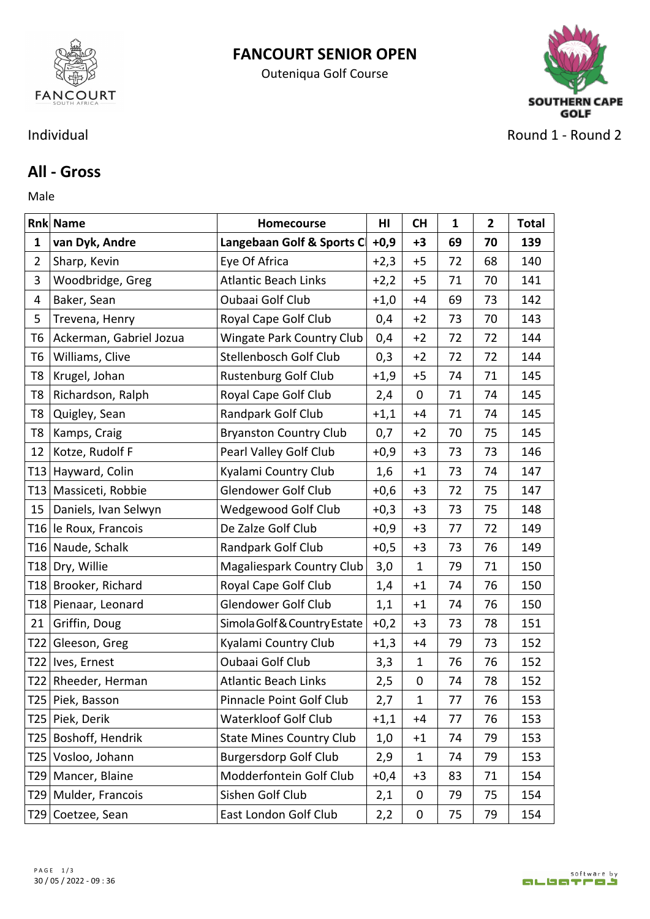

## **FANCOURT SENIOR OPEN**

Outeniqua Golf Course



Individual **Round 2** - Round 2 - Round 2

## **All - Gross**

Male **Male** 

|                | <b>Rnk Name</b>         | Homecourse                       | HI     | <b>CH</b>    | 1  | $\mathbf{2}$ | <b>Total</b> |
|----------------|-------------------------|----------------------------------|--------|--------------|----|--------------|--------------|
| $\mathbf{1}$   | van Dyk, Andre          | Langebaan Golf & Sports C        | $+0,9$ | $+3$         | 69 | 70           | 139          |
| $\overline{2}$ | Sharp, Kevin            | Eye Of Africa                    | $+2,3$ | $+5$         | 72 | 68           | 140          |
| 3              | Woodbridge, Greg        | <b>Atlantic Beach Links</b>      | $+2,2$ | $+5$         | 71 | 70           | 141          |
| 4              | Baker, Sean             | Oubaai Golf Club                 | $+1,0$ | $+4$         | 69 | 73           | 142          |
| 5              | Trevena, Henry          | Royal Cape Golf Club             | 0,4    | $+2$         | 73 | 70           | 143          |
| T <sub>6</sub> | Ackerman, Gabriel Jozua | <b>Wingate Park Country Club</b> | 0,4    | $+2$         | 72 | 72           | 144          |
| T <sub>6</sub> | Williams, Clive         | Stellenbosch Golf Club           | 0,3    | $+2$         | 72 | 72           | 144          |
| T8             | Krugel, Johan           | <b>Rustenburg Golf Club</b>      | $+1,9$ | $+5$         | 74 | 71           | 145          |
| T8             | Richardson, Ralph       | Royal Cape Golf Club             | 2,4    | $\mathbf 0$  | 71 | 74           | 145          |
| T <sub>8</sub> | Quigley, Sean           | Randpark Golf Club               | $+1,1$ | $+4$         | 71 | 74           | 145          |
| T <sub>8</sub> | Kamps, Craig            | <b>Bryanston Country Club</b>    | 0,7    | $+2$         | 70 | 75           | 145          |
| 12             | Kotze, Rudolf F         | Pearl Valley Golf Club           | $+0,9$ | $+3$         | 73 | 73           | 146          |
|                | T13 Hayward, Colin      | Kyalami Country Club             | 1,6    | $+1$         | 73 | 74           | 147          |
|                | T13 Massiceti, Robbie   | Glendower Golf Club              | $+0,6$ | $+3$         | 72 | 75           | 147          |
| 15             | Daniels, Ivan Selwyn    | Wedgewood Golf Club              | $+0,3$ | $+3$         | 73 | 75           | 148          |
|                | T16 le Roux, Francois   | De Zalze Golf Club               | $+0,9$ | $+3$         | 77 | 72           | 149          |
|                | T16 Naude, Schalk       | Randpark Golf Club               | $+0,5$ | $+3$         | 73 | 76           | 149          |
|                | T18 Dry, Willie         | Magaliespark Country Club        | 3,0    | $\mathbf{1}$ | 79 | 71           | 150          |
|                | T18 Brooker, Richard    | Royal Cape Golf Club             | 1,4    | $+1$         | 74 | 76           | 150          |
|                | T18 Pienaar, Leonard    | Glendower Golf Club              | 1,1    | $+1$         | 74 | 76           | 150          |
| 21             | Griffin, Doug           | Simola Golf & Country Estate     | $+0,2$ | $+3$         | 73 | 78           | 151          |
|                | T22 Gleeson, Greg       | Kyalami Country Club             | $+1,3$ | $+4$         | 79 | 73           | 152          |
|                | T22   Ives, Ernest      | Oubaai Golf Club                 | 3,3    | 1            | 76 | 76           | 152          |
|                | T22 Rheeder, Herman     | <b>Atlantic Beach Links</b>      | 2,5    | $\mathbf 0$  | 74 | 78           | 152          |
|                | T25 Piek, Basson        | Pinnacle Point Golf Club         | 2,7    | 1            | 77 | 76           | 153          |
|                | T25 Piek, Derik         | <b>Waterkloof Golf Club</b>      | $+1,1$ | $+4$         | 77 | 76           | 153          |
|                | T25   Boshoff, Hendrik  | <b>State Mines Country Club</b>  | 1,0    | $+1$         | 74 | 79           | 153          |
|                | T25 Vosloo, Johann      | <b>Burgersdorp Golf Club</b>     | 2,9    | $\mathbf{1}$ | 74 | 79           | 153          |
|                | T29   Mancer, Blaine    | Modderfontein Golf Club          | $+0,4$ | $+3$         | 83 | 71           | 154          |
|                | T29   Mulder, Francois  | Sishen Golf Club                 | 2,1    | $\mathbf 0$  | 79 | 75           | 154          |
|                | T29 Coetzee, Sean       | East London Golf Club            | 2,2    | $\mathbf 0$  | 75 | 79           | 154          |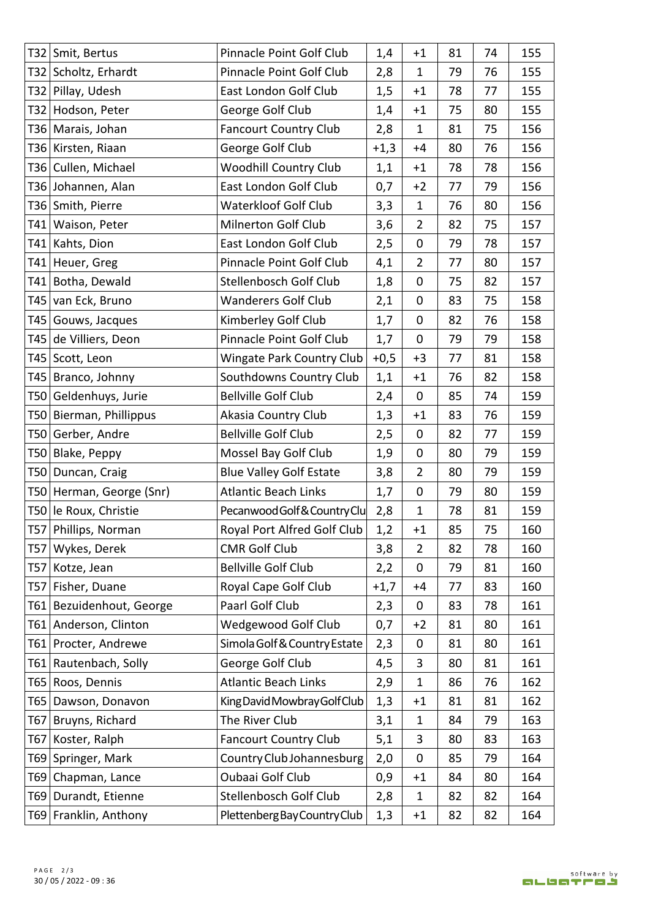|     | T32 Smit, Bertus         | Pinnacle Point Golf Club         | 1,4    | $+1$           | 81 | 74 | 155 |
|-----|--------------------------|----------------------------------|--------|----------------|----|----|-----|
|     | T32 Scholtz, Erhardt     | Pinnacle Point Golf Club         | 2,8    | $\mathbf{1}$   | 79 | 76 | 155 |
|     | T32 Pillay, Udesh        | East London Golf Club            | 1,5    | $+1$           | 78 | 77 | 155 |
|     | T32 Hodson, Peter        | George Golf Club                 | 1,4    | $+1$           | 75 | 80 | 155 |
|     | T36   Marais, Johan      | <b>Fancourt Country Club</b>     | 2,8    | 1              | 81 | 75 | 156 |
|     | T36 Kirsten, Riaan       | George Golf Club                 | $+1,3$ | $+4$           | 80 | 76 | 156 |
|     | T36 Cullen, Michael      | <b>Woodhill Country Club</b>     | 1,1    | $+1$           | 78 | 78 | 156 |
|     | T36 Johannen, Alan       | East London Golf Club            | 0,7    | $+2$           | 77 | 79 | 156 |
|     | T36 Smith, Pierre        | <b>Waterkloof Golf Club</b>      | 3,3    | 1              | 76 | 80 | 156 |
|     | T41   Waison, Peter      | Milnerton Golf Club              | 3,6    | $\overline{2}$ | 82 | 75 | 157 |
|     | T41 Kahts, Dion          | East London Golf Club            | 2,5    | $\mathbf 0$    | 79 | 78 | 157 |
|     | T41 Heuer, Greg          | Pinnacle Point Golf Club         | 4,1    | $\overline{2}$ | 77 | 80 | 157 |
|     | T41 Botha, Dewald        | Stellenbosch Golf Club           | 1,8    | $\mathbf 0$    | 75 | 82 | 157 |
|     | T45 van Eck, Bruno       | <b>Wanderers Golf Club</b>       | 2,1    | $\mathbf 0$    | 83 | 75 | 158 |
|     | T45 Gouws, Jacques       | Kimberley Golf Club              | 1,7    | $\mathbf 0$    | 82 | 76 | 158 |
|     | T45 de Villiers, Deon    | Pinnacle Point Golf Club         | 1,7    | $\mathbf 0$    | 79 | 79 | 158 |
|     | T45 Scott, Leon          | <b>Wingate Park Country Club</b> | $+0,5$ | $+3$           | 77 | 81 | 158 |
|     | T45 Branco, Johnny       | Southdowns Country Club          | 1,1    | $+1$           | 76 | 82 | 158 |
|     | T50 Geldenhuys, Jurie    | <b>Bellville Golf Club</b>       | 2,4    | $\mathbf 0$    | 85 | 74 | 159 |
|     | T50 Bierman, Phillippus  | Akasia Country Club              | 1,3    | $+1$           | 83 | 76 | 159 |
|     | T50 Gerber, Andre        | <b>Bellville Golf Club</b>       | 2,5    | $\mathbf 0$    | 82 | 77 | 159 |
|     | T50 Blake, Peppy         | Mossel Bay Golf Club             | 1,9    | $\mathbf 0$    | 80 | 79 | 159 |
|     | T50 Duncan, Craig        | <b>Blue Valley Golf Estate</b>   | 3,8    | $\overline{2}$ | 80 | 79 | 159 |
|     | T50 Herman, George (Snr) | <b>Atlantic Beach Links</b>      | 1,7    | $\mathbf 0$    | 79 | 80 | 159 |
|     | T50 le Roux, Christie    | Pecanwood Golf & Country Clu     | 2,8    | $\mathbf{1}$   | 78 | 81 | 159 |
|     | T57 Phillips, Norman     | Royal Port Alfred Golf Club      | 1,2    | $+1$           | 85 | 75 | 160 |
| T57 | Wykes, Derek             | <b>CMR Golf Club</b>             | 3,8    | $\overline{2}$ | 82 | 78 | 160 |
|     | T57 Kotze, Jean          | <b>Bellville Golf Club</b>       | 2,2    | 0              | 79 | 81 | 160 |
|     | T57 Fisher, Duane        | Royal Cape Golf Club             | $+1,7$ | $+4$           | 77 | 83 | 160 |
| T61 | Bezuidenhout, George     | Paarl Golf Club                  | 2,3    | $\mathbf 0$    | 83 | 78 | 161 |
|     | T61 Anderson, Clinton    | Wedgewood Golf Club              | 0,7    | $+2$           | 81 | 80 | 161 |
| T61 | Procter, Andrewe         | Simola Golf & Country Estate     | 2,3    | $\mathbf 0$    | 81 | 80 | 161 |
| T61 | Rautenbach, Solly        | George Golf Club                 | 4,5    | 3              | 80 | 81 | 161 |
| T65 | Roos, Dennis             | <b>Atlantic Beach Links</b>      | 2,9    | $\mathbf{1}$   | 86 | 76 | 162 |
|     | T65 Dawson, Donavon      | King David Mowbray Golf Club     | 1,3    | $+1$           | 81 | 81 | 162 |
| T67 | Bruyns, Richard          | The River Club                   | 3,1    | $\mathbf{1}$   | 84 | 79 | 163 |
| T67 | Koster, Ralph            | <b>Fancourt Country Club</b>     | 5,1    | 3              | 80 | 83 | 163 |
|     | T69 Springer, Mark       | Country Club Johannesburg        | 2,0    | $\mathbf 0$    | 85 | 79 | 164 |
|     | T69 Chapman, Lance       | Oubaai Golf Club                 | 0,9    | $+1$           | 84 | 80 | 164 |
| T69 | Durandt, Etienne         | Stellenbosch Golf Club           | 2,8    | $\mathbf{1}$   | 82 | 82 | 164 |
|     | T69 Franklin, Anthony    | Plettenberg Bay Country Club     | 1,3    | $+1$           | 82 | 82 | 164 |